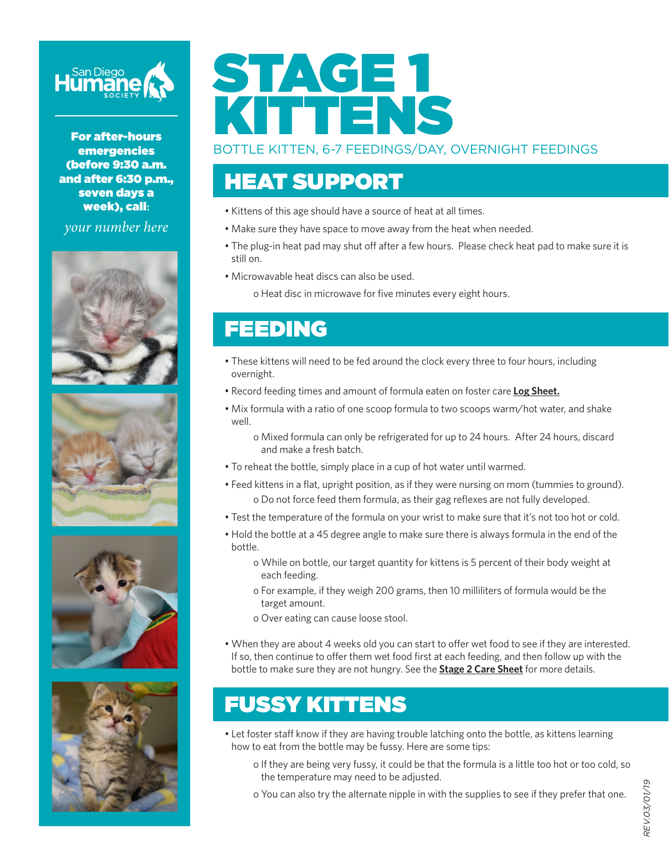

For after-hours emergencies (before 9:30 a.m. and after 6:30 p.m., seven days a week), call**:**

*your number here*









# STAGE 1 KITTENS

#### BOTTLE KITTEN, 6-7 FEEDINGS/DAY, OVERNIGHT FEEDINGS

#### HEAT SUPPORT

- Kittens of this age should have a source of heat at all times.
- Make sure they have space to move away from the heat when needed.
- The plug-in heat pad may shut off after a few hours. Please check heat pad to make sure it is still on.
- Microwavable heat discs can also be used.

o Heat disc in microwave for five minutes every eight hours.

# FEEDING

- These kittens will need to be fed around the clock every three to four hours, including overnight.
- Record feeding times and amount of formula eaten on foster care **Log Sheet.**
- Mix formula with a ratio of one scoop formula to two scoops warm/hot water, and shake well.

o Mixed formula can only be refrigerated for up to 24 hours. After 24 hours, discard and make a fresh batch.

- To reheat the bottle, simply place in a cup of hot water until warmed.
- Feed kittens in a flat, upright position, as if they were nursing on mom (tummies to ground). o Do not force feed them formula, as their gag reflexes are not fully developed.
- Test the temperature of the formula on your wrist to make sure that it's not too hot or cold.
- Hold the bottle at a 45 degree angle to make sure there is always formula in the end of the bottle.
	- o While on bottle, our target quantity for kittens is 5 percent of their body weight at each feeding.
	- o For example, if they weigh 200 grams, then 10 milliliters of formula would be the target amount.
	- o Over eating can cause loose stool.
- When they are about 4 weeks old you can start to offer wet food to see if they are interested. If so, then continue to offer them wet food first at each feeding, and then follow up with the bottle to make sure they are not hungry. See the **Stage 2 Care Sheet** for more details.

### FUSSY KITTENS

- Let foster staff know if they are having trouble latching onto the bottle, as kittens learning how to eat from the bottle may be fussy. Here are some tips:
	- o If they are being very fussy, it could be that the formula is a little too hot or too cold, so the temperature may need to be adjusted.
	- o You can also try the alternate nipple in with the supplies to see if they prefer that one.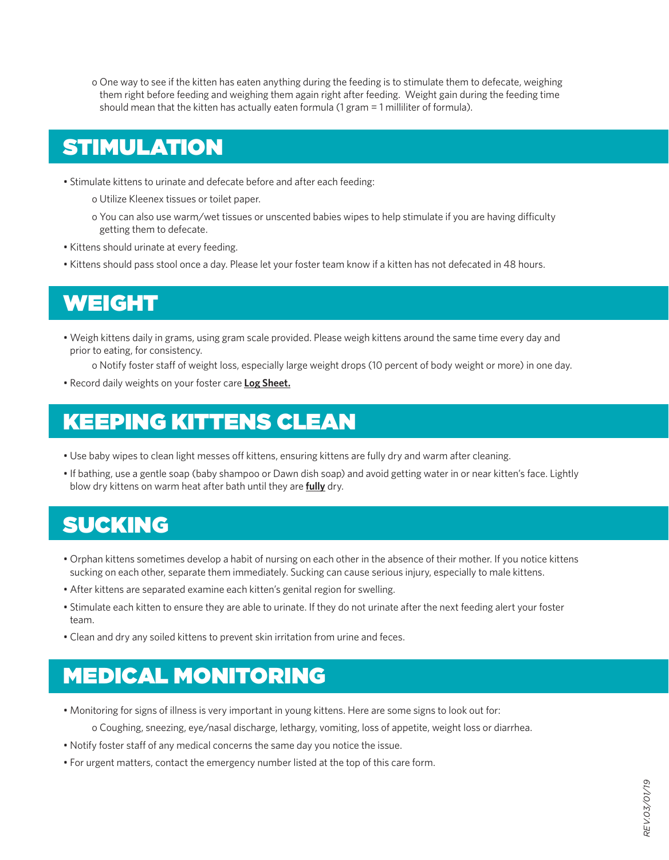o One way to see if the kitten has eaten anything during the feeding is to stimulate them to defecate, weighing them right before feeding and weighing them again right after feeding. Weight gain during the feeding time should mean that the kitten has actually eaten formula (1 gram = 1 milliliter of formula).

# STIMULATION

- Stimulate kittens to urinate and defecate before and after each feeding:
	- o Utilize Kleenex tissues or toilet paper.
	- o You can also use warm/wet tissues or unscented babies wipes to help stimulate if you are having difficulty getting them to defecate.
- Kittens should urinate at every feeding.
- Kittens should pass stool once a day. Please let your foster team know if a kitten has not defecated in 48 hours.

#### WEIGHT

• Weigh kittens daily in grams, using gram scale provided. Please weigh kittens around the same time every day and prior to eating, for consistency.

o Notify foster staff of weight loss, especially large weight drops (10 percent of body weight or more) in one day.

• Record daily weights on your foster care **Log Sheet.**

# KEEPING KITTENS CLEAN

- Use baby wipes to clean light messes off kittens, ensuring kittens are fully dry and warm after cleaning.
- If bathing, use a gentle soap (baby shampoo or Dawn dish soap) and avoid getting water in or near kitten's face. Lightly blow dry kittens on warm heat after bath until they are **fully** dry.

#### SUCKING

- Orphan kittens sometimes develop a habit of nursing on each other in the absence of their mother. If you notice kittens sucking on each other, separate them immediately. Sucking can cause serious injury, especially to male kittens.
- After kittens are separated examine each kitten's genital region for swelling.
- Stimulate each kitten to ensure they are able to urinate. If they do not urinate after the next feeding alert your foster team.
- Clean and dry any soiled kittens to prevent skin irritation from urine and feces.

#### MEDICAL MONITORING

• Monitoring for signs of illness is very important in young kittens. Here are some signs to look out for:

o Coughing, sneezing, eye/nasal discharge, lethargy, vomiting, loss of appetite, weight loss or diarrhea.

- Notify foster staff of any medical concerns the same day you notice the issue.
- For urgent matters, contact the emergency number listed at the top of this care form.